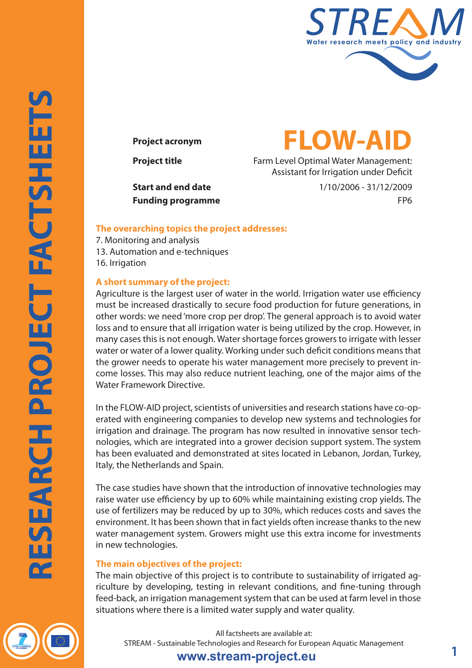

# **Project acronym FLOW-AID**

**Project title** Farm Level Optimal Water Management: Assistant for Irrigation under Deficit

**Start and end date** 1/10/2006 - 31/12/2009 **Funding programme** FP6

#### **The overarching topics the project addresses:**

7. Monitoring and analysis 13. Automation and e-techniques 16. Irrigation

#### **A short summary of the project:**

Agriculture is the largest user of water in the world. Irrigation water use efficiency must be increased drastically to secure food production for future generations, in other words: we need 'more crop per drop'. The general approach is to avoid water loss and to ensure that all irrigation water is being utilized by the crop. However, in many cases this is not enough. Water shortage forces growers to irrigate with lesser water or water of a lower quality. Working under such deficit conditions means that the grower needs to operate his water management more precisely to prevent income losses. This may also reduce nutrient leaching, one of the major aims of the Water Framework Directive.

In the FLOW-AID project, scientists of universities and research stations have co-operated with engineering companies to develop new systems and technologies for irrigation and drainage. The program has now resulted in innovative sensor technologies, which are integrated into a grower decision support system. The system has been evaluated and demonstrated at sites located in Lebanon, Jordan, Turkey, Italy, the Netherlands and Spain.

The case studies have shown that the introduction of innovative technologies may raise water use efficiency by up to 60% while maintaining existing crop yields. The use of fertilizers may be reduced by up to 30%, which reduces costs and saves the environment. It has been shown that in fact yields often increase thanks to the new water management system. Growers might use this extra income for investments in new technologies.

#### **The main objectives of the project:**

The main objective of this project is to contribute to sustainability of irrigated agriculture by developing, testing in relevant conditions, and fine-tuning through feed-back, an irrigation management system that can be used at farm level in those situations where there is a limited water supply and water quality.

**RESEARCH PROJECT FACTSHEETS**

RESEARCH PROJECT FACTSHEETS

All factsheets are available at: STREAM - Sustainable Technologies and Research for European Aquatic Management

### **www.stream-project.eu 1**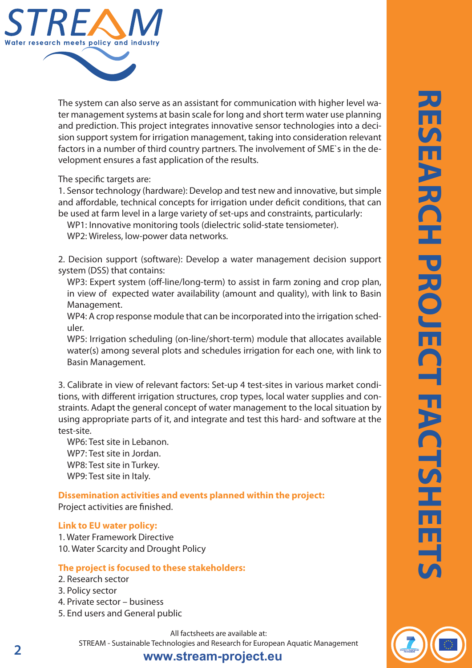

The system can also serve as an assistant for communication with higher level water management systems at basin scale for long and short term water use planning and prediction. This project integrates innovative sensor technologies into a decision support system for irrigation management, taking into consideration relevant factors in a number of third country partners. The involvement of SME`s in the development ensures a fast application of the results.

The specific targets are:

1. Sensor technology (hardware): Develop and test new and innovative, but simple and affordable, technical concepts for irrigation under deficit conditions, that can be used at farm level in a large variety of set-ups and constraints, particularly:

WP1: Innovative monitoring tools (dielectric solid-state tensiometer). WP2: Wireless, low-power data networks.

2. Decision support (software): Develop a water management decision support system (DSS) that contains:

WP3: Expert system (off-line/long-term) to assist in farm zoning and crop plan, in view of expected water availability (amount and quality), with link to Basin Management.

WP4: A crop response module that can be incorporated into the irrigation scheduler.

WP5: Irrigation scheduling (on-line/short-term) module that allocates available water(s) among several plots and schedules irrigation for each one, with link to Basin Management.

3. Calibrate in view of relevant factors: Set-up 4 test-sites in various market conditions, with different irrigation structures, crop types, local water supplies and constraints. Adapt the general concept of water management to the local situation by using appropriate parts of it, and integrate and test this hard- and software at the test-site.

WP6: Test site in Lebanon. WP7: Test site in Jordan. WP8: Test site in Turkey. WP9: Test site in Italy.

**Dissemination activities and events planned within the project:** Project activities are finished.

#### **Link to EU water policy:**

1. Water Framework Directive 10. Water Scarcity and Drought Policy

#### **The project is focused to these stakeholders:**

- 2. Research sector
- 3. Policy sector
- 4. Private sector business
- 5. End users and General public

All factsheets are available at: STREAM - Sustainable Technologies and Research for European Aquatic Management

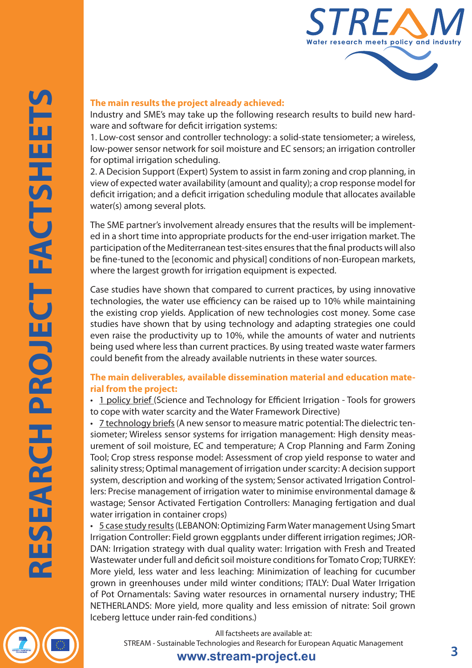

#### **The main results the project already achieved:**

Industry and SME's may take up the following research results to build new hardware and software for deficit irrigation systems:

1. Low-cost sensor and controller technology: a solid-state tensiometer; a wireless, low-power sensor network for soil moisture and EC sensors; an irrigation controller for optimal irrigation scheduling.

2. A Decision Support (Expert) System to assist in farm zoning and crop planning, in view of expected water availability (amount and quality); a crop response model for deficit irrigation; and a deficit irrigation scheduling module that allocates available water(s) among several plots.

The SME partner's involvement already ensures that the results will be implemented in a short time into appropriate products for the end-user irrigation market. The participation of the Mediterranean test-sites ensures that the final products will also be fine-tuned to the [economic and physical] conditions of non-European markets, where the largest growth for irrigation equipment is expected.

Case studies have shown that compared to current practices, by using innovative technologies, the water use efficiency can be raised up to 10% while maintaining the existing crop yields. Application of new technologies cost money. Some case studies have shown that by using technology and adapting strategies one could even raise the productivity up to 10%, while the amounts of water and nutrients being used where less than current practices. By using treated waste water farmers could benefit from the already available nutrients in these water sources.

#### **The main deliverables, available dissemination material and education material from the project:**

• [1 policy brief](http://cordis.europa.eu/documents/documentlibrary/124584981EN6.pdf) (Science and Technology for Efficient Irrigation - Tools for growers to cope with water scarcity and the Water Framework Directive)

• [7 technology briefs](http://www.flow-aid.wur.nl/NR/rdonlyres/92220DBD-17D7-4B30-B78B-3F6B64C6A2A6/112923/FLOWAIDhandoutfinalworkshop.pdf) (A new sensor to measure matric potential: The dielectric tensiometer; Wireless sensor systems for irrigation management: High density measurement of soil moisture, EC and temperature; A Crop Planning and Farm Zoning Tool; Crop stress response model: Assessment of crop yield response to water and salinity stress; Optimal management of irrigation under scarcity: A decision support system, description and working of the system; Sensor activated Irrigation Controllers: Precise management of irrigation water to minimise environmental damage & wastage; Sensor Activated Fertigation Controllers: Managing fertigation and dual water irrigation in container crops)

• [5 case study results](http://www.flow-aid.wur.nl/NR/rdonlyres/92220DBD-17D7-4B30-B78B-3F6B64C6A2A6/112923/FLOWAIDhandoutfinalworkshop.pdf) (LEBANON: Optimizing Farm Water management Using Smart Irrigation Controller: Field grown eggplants under different irrigation regimes; JOR-DAN: Irrigation strategy with dual quality water: Irrigation with Fresh and Treated Wastewater under full and deficit soil moisture conditions for Tomato Crop; TURKEY: More yield, less water and less leaching: Minimization of leaching for cucumber grown in greenhouses under mild winter conditions; ITALY: Dual Water Irrigation of Pot Ornamentals: Saving water resources in ornamental nursery industry; THE NETHERLANDS: More yield, more quality and less emission of nitrate: Soil grown Iceberg lettuce under rain-fed conditions.)

> All factsheets are available at: STREAM - Sustainable Technologies and Research for European Aquatic Management

### **www.stream-project.eu 3**